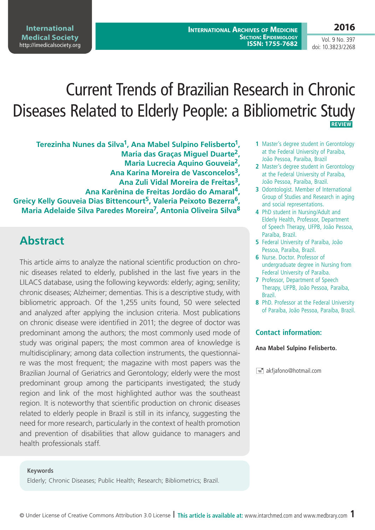**2016**

Vol. 9 No. 397 doi: 10.3823/2268

# Current Trends of Brazilian Research in Chronic Diseases Related to Elderly People: a Bibliometric Study  **REVIEW**

**Terezinha Nunes da Silva1, Ana Mabel Sulpino Felisberto1, Maria das Graças Miguel Duarte2, Maria Lucrecia Aquino Gouveia2, Ana Karina Moreira de Vasconcelos3, Ana Zuli Vidal Moreira de Freitas3, Ana Karênina de Freitas Jordão do Amaral4, Greicy Kelly Gouveia Dias Bittencourt5, Valeria Peixoto Bezerra6, Maria Adelaide Silva Paredes Moreira7, Antonia Oliveira Silva8**

## **Abstract**

This article aims to analyze the national scientific production on chronic diseases related to elderly, published in the last five years in the LILACS database, using the following keywords: elderly; aging; senility; chronic diseases; Alzheimer; dementias. This is a descriptive study, with bibliometric approach. Of the 1,255 units found, 50 were selected and analyzed after applying the inclusion criteria. Most publications on chronic disease were identified in 2011; the degree of doctor was predominant among the authors; the most commonly used mode of study was original papers; the most common area of knowledge is multidisciplinary; among data collection instruments, the questionnaire was the most frequent; the magazine with most papers was the Brazilian Journal of Geriatrics and Gerontology; elderly were the most predominant group among the participants investigated; the study region and link of the most highlighted author was the southeast region. It is noteworthy that scientific production on chronic diseases related to elderly people in Brazil is still in its infancy, suggesting the need for more research, particularly in the context of health promotion and prevention of disabilities that allow guidance to managers and health professionals staff.

- **1** Master's degree student in Gerontology at the Federal University of Paraiba, João Pessoa, Paraíba, Brazil
- **2** Master's degree student in Gerontology at the Federal University of Paraiba, João Pessoa, Paraíba, Brazil.
- **3** Odontologist. Member of International Group of Studies and Research in aging and social representations.
- **4** PhD student in Nursing/Adult and Elderly Health, Professor, Department of Speech Therapy, UFPB, João Pessoa, Paraíba, Brazil.
- **5** Federal University of Paraíba, João Pessoa, Paraíba, Brazil.
- **6** Nurse. Doctor. Professor of undergraduate degree in Nursing from Federal University of Paraíba.
- **7** Professor, Department of Speech Therapy, UFPB, João Pessoa, Paraíba, Brazil.
- **8** PhD. Professor at the Federal University of Paraíba, João Pessoa, Paraíba, Brazil.

#### **Contact information:**

#### **Ana Mabel Sulpino Felisberto.**

 $\equiv$  akfjafono@hotmail.com

**Keywords** Elderly; Chronic Diseases; Public Health; Research; Bibliometrics; Brazil.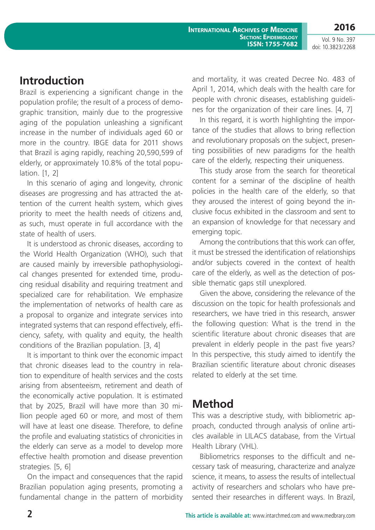## **Introduction**

Brazil is experiencing a significant change in the population profile; the result of a process of demographic transition, mainly due to the progressive aging of the population unleashing a significant increase in the number of individuals aged 60 or more in the country. IBGE data for 2011 shows that Brazil is aging rapidly, reaching 20,590,599 of elderly, or approximately 10.8% of the total population. [1, 2]

In this scenario of aging and longevity, chronic diseases are progressing and has attracted the attention of the current health system, which gives priority to meet the health needs of citizens and, as such, must operate in full accordance with the state of health of users.

It is understood as chronic diseases, according to the World Health Organization (WHO), such that are caused mainly by irreversible pathophysiological changes presented for extended time, producing residual disability and requiring treatment and specialized care for rehabilitation. We emphasize the implementation of networks of health care as a proposal to organize and integrate services into integrated systems that can respond effectively, efficiency, safety, with quality and equity, the health conditions of the Brazilian population. [3, 4]

It is important to think over the economic impact that chronic diseases lead to the country in relation to expenditure of health services and the costs arising from absenteeism, retirement and death of the economically active population. It is estimated that by 2025, Brazil will have more than 30 million people aged 60 or more, and most of them will have at least one disease. Therefore, to define the profile and evaluating statistics of chronicities in the elderly can serve as a model to develop more effective health promotion and disease prevention strategies. [5, 6]

On the impact and consequences that the rapid Brazilian population aging presents, promoting a fundamental change in the pattern of morbidity and mortality, it was created Decree No. 483 of April 1, 2014, which deals with the health care for people with chronic diseases, establishing guidelines for the organization of their care lines. [4, 7]

In this regard, it is worth highlighting the importance of the studies that allows to bring reflection and revolutionary proposals on the subject, presenting possibilities of new paradigms for the health care of the elderly, respecting their uniqueness.

This study arose from the search for theoretical content for a seminar of the discipline of health policies in the health care of the elderly, so that they aroused the interest of going beyond the inclusive focus exhibited in the classroom and sent to an expansion of knowledge for that necessary and emerging topic.

Among the contributions that this work can offer, it must be stressed the identification of relationships and/or subjects covered in the context of health care of the elderly, as well as the detection of possible thematic gaps still unexplored.

Given the above, considering the relevance of the discussion on the topic for health professionals and researchers, we have tried in this research, answer the following question: What is the trend in the scientific literature about chronic diseases that are prevalent in elderly people in the past five years? In this perspective, this study aimed to identify the Brazilian scientific literature about chronic diseases related to elderly at the set time.

#### **Method**

This was a descriptive study, with bibliometric approach, conducted through analysis of online articles available in LILACS database, from the Virtual Health Library (VHL).

Bibliometrics responses to the difficult and necessary task of measuring, characterize and analyze science, it means, to assess the results of intellectual activity of researchers and scholars who have presented their researches in different ways. In Brazil,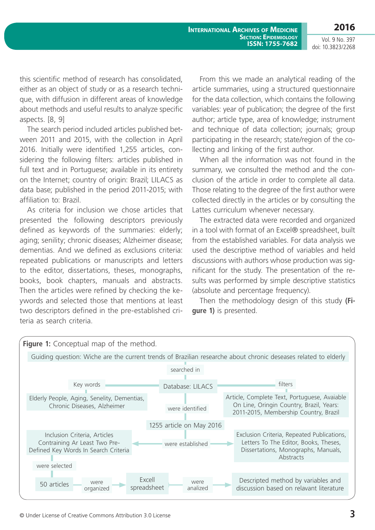**2016** Vol. 9 No. 397

doi: 10.3823/2268

this scientific method of research has consolidated, either as an object of study or as a research technique, with diffusion in different areas of knowledge about methods and useful results to analyze specific aspects. [8, 9]

The search period included articles published between 2011 and 2015, with the collection in April 2016. Initially were identified 1,255 articles, considering the following filters: articles published in full text and in Portuguese; available in its entirety on the Internet; country of origin: Brazil; LILACS as data base; published in the period 2011-2015; with affiliation to: Brazil.

As criteria for inclusion we chose articles that presented the following descriptors previously defined as keywords of the summaries: elderly; aging; senility; chronic diseases; Alzheimer disease; dementias. And we defined as exclusions criteria: repeated publications or manuscripts and letters to the editor, dissertations, theses, monographs, books, book chapters, manuals and abstracts. Then the articles were refined by checking the keywords and selected those that mentions at least two descriptors defined in the pre-established criteria as search criteria.

From this we made an analytical reading of the article summaries, using a structured questionnaire for the data collection, which contains the following variables: year of publication; the degree of the first author; article type, area of knowledge; instrument and technique of data collection; journals; group participating in the research; state/region of the collecting and linking of the first author.

When all the information was not found in the summary, we consulted the method and the conclusion of the article in order to complete all data. Those relating to the degree of the first author were collected directly in the articles or by consulting the Lattes curriculum whenever necessary.

The extracted data were recorded and organized in a tool with format of an Excel® spreadsheet, built from the established variables. For data analysis we used the descriptive method of variables and held discussions with authors whose production was significant for the study. The presentation of the results was performed by simple descriptive statistics (absolute and percentage frequency).

Then the methodology design of this study **(Figure 1)** is presented.

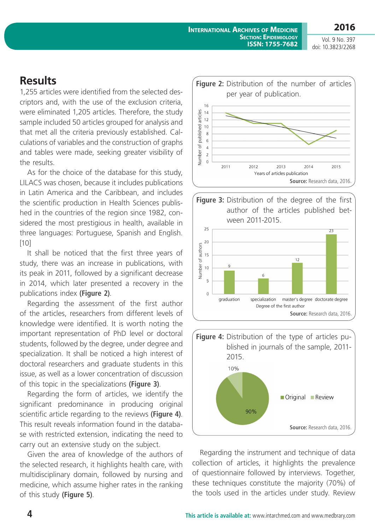**2016**

Vol. 9 No. 397 doi: 10.3823/2268

#### **Results**

1,255 articles were identified from the selected descriptors and, with the use of the exclusion criteria, were eliminated 1,205 articles. Therefore, the study sample included 50 articles grouped for analysis and that met all the criteria previously established. Calculations of variables and the construction of graphs and tables were made, seeking greater visibility of the results.

As for the choice of the database for this study, LILACS was chosen, because it includes publications in Latin America and the Caribbean, and includes the scientific production in Health Sciences published in the countries of the region since 1982, considered the most prestigious in health, available in three languages: Portuguese, Spanish and English. [10]

It shall be noticed that the first three years of study, there was an increase in publications, with its peak in 2011, followed by a significant decrease in 2014, which later presented a recovery in the publications index **(Figure 2)**.

Regarding the assessment of the first author of the articles, researchers from different levels of knowledge were identified. It is worth noting the important representation of PhD level or doctoral students, followed by the degree, under degree and specialization. It shall be noticed a high interest of doctoral researchers and graduate students in this issue, as well as a lower concentration of discussion of this topic in the specializations **(Figure 3)**.

Regarding the form of articles, we identify the significant predominance in producing original scientific article regarding to the reviews **(Figure 4)**. This result reveals information found in the database with restricted extension, indicating the need to carry out an extensive study on the subject.

Given the area of knowledge of the authors of the selected research, it highlights health care, with multidisciplinary domain, followed by nursing and medicine, which assume higher rates in the ranking of this study **(Figure 5)**.







Regarding the instrument and technique of data collection of articles, it highlights the prevalence of questionnaire followed by interviews. Together, these techniques constitute the majority (70%) of the tools used in the articles under study. Review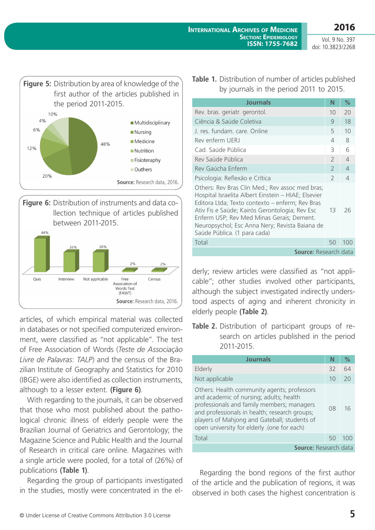



articles, of which empirical material was collected in databases or not specified computerized environment, were classified as "not applicable". The test of Free Association of Words (*Teste de Associação Livre de Palavras*: *TALP*) and the census of the Brazilian Institute of Geography and Statistics for 2010 (IBGE) were also identified as collection instruments, although to a lesser extent. **(Figure 6)**.

With regarding to the journals, it can be observed that those who most published about the pathological chronic illness of elderly people were the Brazilian Journal of Geriatrics and Gerontology; the Magazine Science and Public Health and the Journal of Research in critical care online. Magazines with a single article were pooled, for a total of (26%) of publications **(Table 1)**.

Regarding the group of participants investigated in the studies, mostly were concentrated in the el**Table 1.** Distribution of number of articles published by journals in the period 2011 to 2015.

| <b>Journals</b>                                                                                                                                                                                                                                                                                                                            | N              | ℅        |  |
|--------------------------------------------------------------------------------------------------------------------------------------------------------------------------------------------------------------------------------------------------------------------------------------------------------------------------------------------|----------------|----------|--|
| Rev. bras. geriatr. gerontol.                                                                                                                                                                                                                                                                                                              | 10             | 20       |  |
| Ciência & Saúde Coletiva                                                                                                                                                                                                                                                                                                                   | 9              | 18       |  |
| J. res. fundam. care. Online                                                                                                                                                                                                                                                                                                               | 5              | 10       |  |
| Rev enferm UFRJ                                                                                                                                                                                                                                                                                                                            | $\overline{4}$ | 8        |  |
| Cad. Saúde Pública                                                                                                                                                                                                                                                                                                                         | 3              | 6        |  |
| Rev Saúde Pública                                                                                                                                                                                                                                                                                                                          | $\mathcal{P}$  | $\Delta$ |  |
| Rev Gaúcha Enferm                                                                                                                                                                                                                                                                                                                          | $\mathcal{P}$  | $\Delta$ |  |
| Psicologia: Reflexão e Crítica                                                                                                                                                                                                                                                                                                             | $\mathcal{P}$  | $\Delta$ |  |
| Others: Rev Bras Clin Med.; Rev assoc med bras;<br>Hospital Israelita Albert Einstein - HIAE; Elsevier<br>Editora Ltda; Texto contexto – enferm; Rev Bras<br>Ativ Fis e Saúde; Kairós Gerontologia; Rev Esc<br>Enferm USP; Rev Med Minas Gerais; Dement.<br>Neuropsychol; Esc Anna Nery; Revista Baiana de<br>Saúde Pública. (1 para cada) | 13             | 26       |  |
| Total                                                                                                                                                                                                                                                                                                                                      | 50             | 100      |  |
| <b>Source: Research data</b>                                                                                                                                                                                                                                                                                                               |                |          |  |

derly; review articles were classified as "not applicable"; other studies involved other participants, although the subject investigated indirectly understood aspects of aging and inherent chronicity in elderly people **(Table 2)**.

**Table 2.** Distribution of participant groups of research on articles published in the period 2011-2015.

| <b>Journals</b>                                                                                                                                                                                                                                                                      |    | %     |  |
|--------------------------------------------------------------------------------------------------------------------------------------------------------------------------------------------------------------------------------------------------------------------------------------|----|-------|--|
| Elderly                                                                                                                                                                                                                                                                              | 32 | 64    |  |
| Not applicable                                                                                                                                                                                                                                                                       | 10 | 20    |  |
| Others: Health community agents; professors<br>and academic of nursing; adults; health<br>professionals and family members; managers<br>and professionals in health; research groups;<br>players of Mahjong and Gateball; students of<br>open university for elderly .(one for each) | 08 | 16    |  |
| Total                                                                                                                                                                                                                                                                                | 50 | 1()() |  |
| <b>Source: Research data</b>                                                                                                                                                                                                                                                         |    |       |  |

Regarding the bond regions of the first author of the article and the publication of regions, it was observed in both cases the highest concentration is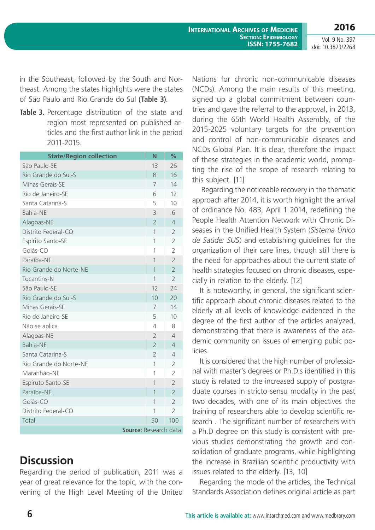doi: 10.3823/2268

in the Southeast, followed by the South and Northeast. Among the states highlights were the states of São Paulo and Rio Grande do Sul **(Table 3)**.

**Table 3.** Percentage distribution of the state and region most represented on published articles and the first author link in the period 2011-2015.

| <b>State/Region collection</b> | N              | %              |  |  |
|--------------------------------|----------------|----------------|--|--|
| São Paulo-SE                   | 13             | 26             |  |  |
| Rio Grande do Sul-S            | 8              | 16             |  |  |
| Minas Gerais-SE                | 7              | 14             |  |  |
| Rio de Janeiro-SE              | 6              | 12             |  |  |
| Santa Catarina-S               | 5              | 10             |  |  |
| <b>Bahia-NE</b>                | 3              | 6              |  |  |
| Alagoas-NE                     | $\overline{2}$ | 4              |  |  |
| Distrito Federal-CO            | 1              | $\overline{2}$ |  |  |
| Espírito Santo-SE              | 1              | $\overline{2}$ |  |  |
| Goiás-CO                       | 1              | $\overline{2}$ |  |  |
| Paraíba-NE                     | 1              | $\overline{2}$ |  |  |
| Rio Grande do Norte-NE         | 1              | $\overline{2}$ |  |  |
| <b>Tocantins-N</b>             | 1              | $\overline{2}$ |  |  |
| São Paulo-SE                   | 12             | 24             |  |  |
| Rio Grande do Sul-S            | 10             | 20             |  |  |
| Minas Gerais-SE                | 7              | 14             |  |  |
| Rio de Janeiro-SE              | 5              | 10             |  |  |
| Não se aplica                  | 4              | 8              |  |  |
| Alagoas-NE                     | $\overline{2}$ | $\overline{4}$ |  |  |
| <b>Bahia-NE</b>                | $\overline{2}$ | $\overline{4}$ |  |  |
| Santa Catarina-S               | $\overline{2}$ | $\overline{4}$ |  |  |
| Rio Grande do Norte-NE         | 1              | $\overline{2}$ |  |  |
| Maranhão-NE                    | 1              | $\overline{2}$ |  |  |
| Espíruto Santo-SE              | 1              | $\overline{2}$ |  |  |
| Paraíba-NE                     | $\overline{1}$ | $\overline{2}$ |  |  |
| Goiás-CO                       | 1              | $\overline{2}$ |  |  |
| Distrito Federal-CO            | 1              | $\overline{2}$ |  |  |
| Total                          | 50             | 100            |  |  |
| Source: Research data          |                |                |  |  |

# **Discussion**

Regarding the period of publication, 2011 was a year of great relevance for the topic, with the convening of the High Level Meeting of the United

Nations for chronic non-communicable diseases (NCDs). Among the main results of this meeting, signed up a global commitment between countries and gave the referral to the approval, in 2013, during the 65th World Health Assembly, of the 2015-2025 voluntary targets for the prevention and control of non-communicable diseases and NCDs Global Plan. It is clear, therefore the impact of these strategies in the academic world, prompting the rise of the scope of research relating to this subject. [11]

Regarding the noticeable recovery in the thematic approach after 2014, it is worth highlight the arrival of ordinance No. 483, April 1 2014, redefining the People Health Attention Network with Chronic Diseases in the Unified Health System (*Sistema Único de Saúde: SUS*) and establishing guidelines for the organization of their care lines, though still there is the need for approaches about the current state of health strategies focused on chronic diseases, especially in relation to the elderly. [12]

It is noteworthy, in general, the significant scientific approach about chronic diseases related to the elderly at all levels of knowledge evidenced in the degree of the first author of the articles analyzed, demonstrating that there is awareness of the academic community on issues of emerging pubic policies.

It is considered that the high number of professional with master's degrees or Ph.D.s identified in this study is related to the increased supply of postgraduate courses in stricto sensu modality in the past two decades, with one of its main objectives the training of researchers able to develop scientific research . The significant number of researchers with a Ph.D degree on this study is consistent with previous studies demonstrating the growth and consolidation of graduate programs, while highlighting the increase in Brazilian scientific productivity with issues related to the elderly. [13, 10]

Regarding the mode of the articles, the Technical Standards Association defines original article as part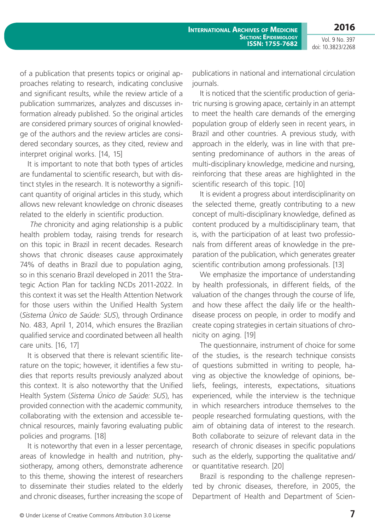Vol. 9 No. 397 doi: 10.3823/2268

**2016**

of a publication that presents topics or original approaches relating to research, indicating conclusive and significant results, while the review article of a publication summarizes, analyzes and discusses information already published. So the original articles are considered primary sources of original knowledge of the authors and the review articles are considered secondary sources, as they cited, review and interpret original works. [14, 15]

It is important to note that both types of articles are fundamental to scientific research, but with distinct styles in the research. It is noteworthy a significant quantity of original articles in this study, which allows new relevant knowledge on chronic diseases related to the elderly in scientific production.

 *The* chronicity and aging relationship is a public health problem today, raising trends for research on this topic in Brazil in recent decades. Research shows that chronic diseases cause approximately 74% of deaths in Brazil due to population aging, so in this scenario Brazil developed in 2011 the Strategic Action Plan for tackling NCDs 2011-2022. In this context it was set the Health Attention Network for those users within the Unified Health System (*Sistema Único de Saúde: SUS*), through Ordinance No. 483, April 1, 2014, which ensures the Brazilian qualified service and coordinated between all health care units. [16, 17]

It is observed that there is relevant scientific literature on the topic; however, it identifies a few studies that reports results previously analyzed about this context. It is also noteworthy that the Unified Health System (*Sistema Único de Saúde: SUS*), has provided connection with the academic community, collaborating with the extension and accessible technical resources, mainly favoring evaluating public policies and programs. [18]

It is noteworthy that even in a lesser percentage, areas of knowledge in health and nutrition, physiotherapy, among others, demonstrate adherence to this theme, showing the interest of researchers to disseminate their studies related to the elderly and chronic diseases, further increasing the scope of

publications in national and international circulation journals.

It is noticed that the scientific production of geriatric nursing is growing apace, certainly in an attempt to meet the health care demands of the emerging population group of elderly seen in recent years, in Brazil and other countries. A previous study, with approach in the elderly, was in line with that presenting predominance of authors in the areas of multi-disciplinary knowledge, medicine and nursing, reinforcing that these areas are highlighted in the scientific research of this topic. [10]

It is evident a progress about interdisciplinarity on the selected theme, greatly contributing to a new concept of multi-disciplinary knowledge, defined as content produced by a multidisciplinary team, that is, with the participation of at least two professionals from different areas of knowledge in the preparation of the publication, which generates greater scientific contribution among professionals. [13]

We emphasize the importance of understanding by health professionals, in different fields, of the valuation of the changes through the course of life, and how these affect the daily life or the healthdisease process on people, in order to modify and create coping strategies in certain situations of chronicity on aging. [19]

The questionnaire, instrument of choice for some of the studies, is the research technique consists of questions submitted in writing to people, having as objective the knowledge of opinions, beliefs, feelings, interests, expectations, situations experienced, while the interview is the technique in which researchers introduce themselves to the people researched formulating questions, with the aim of obtaining data of interest to the research. Both collaborate to seizure of relevant data in the research of chronic diseases in specific populations such as the elderly, supporting the qualitative and/ or quantitative research. [20]

Brazil is responding to the challenge represented by chronic diseases, therefore, in 2005, the Department of Health and Department of Scien-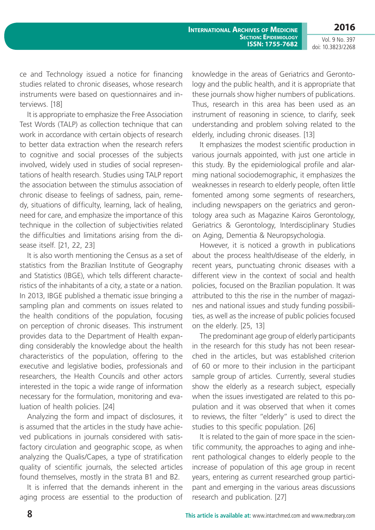Vol. 9 No. 397 doi: 10.3823/2268

**2016**

ce and Technology issued a notice for financing studies related to chronic diseases, whose research instruments were based on questionnaires and interviews. [18]

It is appropriate to emphasize the Free Association Test Words (TALP) as collection technique that can work in accordance with certain objects of research to better data extraction when the research refers to cognitive and social processes of the subjects involved, widely used in studies of social representations of health research. Studies using TALP report the association between the stimulus association of chronic disease to feelings of sadness, pain, remedy, situations of difficulty, learning, lack of healing, need for care, and emphasize the importance of this technique in the collection of subjectivities related the difficulties and limitations arising from the disease itself. [21, 22, 23]

It is also worth mentioning the Census as a set of statistics from the Brazilian Institute of Geography and Statistics (IBGE), which tells different characteristics of the inhabitants of a city, a state or a nation. In 2013, IBGE published a thematic issue bringing a sampling plan and comments on issues related to the health conditions of the population, focusing on perception of chronic diseases. This instrument provides data to the Department of Health expanding considerably the knowledge about the health characteristics of the population, offering to the executive and legislative bodies, professionals and researchers, the Health Councils and other actors interested in the topic a wide range of information necessary for the formulation, monitoring and evaluation of health policies. [24]

Analyzing the form and impact of disclosures, it is assumed that the articles in the study have achieved publications in journals considered with satisfactory circulation and geographic scope, as when analyzing the Qualis/Capes, a type of stratification quality of scientific journals, the selected articles found themselves, mostly in the strata B1 and B2.

It is inferred that the demands inherent in the aging process are essential to the production of knowledge in the areas of Geriatrics and Gerontology and the public health, and it is appropriate that these journals show higher numbers of publications. Thus, research in this area has been used as an instrument of reasoning in science, to clarify, seek understanding and problem solving related to the elderly, including chronic diseases. [13]

It emphasizes the modest scientific production in various journals appointed, with just one article in this study. By the epidemiological profile and alarming national sociodemographic, it emphasizes the weaknesses in research to elderly people, often little fomented among some segments of researchers, including newspapers on the geriatrics and gerontology area such as Magazine Kairos Gerontology, Geriatrics & Gerontology, Interdisciplinary Studies on Aging, Dementia & Neuropsychologia.

However, it is noticed a growth in publications about the process health/disease of the elderly, in recent years, punctuating chronic diseases with a different view in the context of social and health policies, focused on the Brazilian population. It was attributed to this the rise in the number of magazines and national issues and study funding possibilities, as well as the increase of public policies focused on the elderly. [25, 13]

The predominant age group of elderly participants in the research for this study has not been researched in the articles, but was established criterion of 60 or more to their inclusion in the participant sample group of articles. Currently, several studies show the elderly as a research subject, especially when the issues investigated are related to this population and it was observed that when it comes to reviews, the filter "elderly" is used to direct the studies to this specific population. [26]

It is related to the gain of more space in the scientific community, the approaches to aging and inherent pathological changes to elderly people to the increase of population of this age group in recent years, entering as current researched group participant and emerging in the various areas discussions research and publication. [27]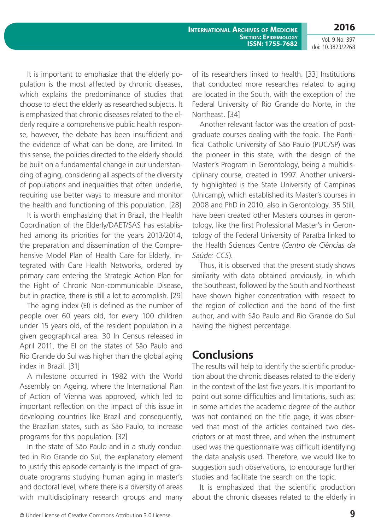**2016**

Vol. 9 No. 397 doi: 10.3823/2268

It is important to emphasize that the elderly population is the most affected by chronic diseases, which explains the predominance of studies that choose to elect the elderly as researched subjects. It is emphasized that chronic diseases related to the elderly require a comprehensive public health response, however, the debate has been insufficient and the evidence of what can be done, are limited. In this sense, the policies directed to the elderly should be built on a fundamental change in our understanding of aging, considering all aspects of the diversity of populations and inequalities that often underlie, requiring use better ways to measure and monitor the health and functioning of this population. [28]

It is worth emphasizing that in Brazil, the Health Coordination of the Elderly/DAET/SAS has established among its priorities for the years 2013/2014, the preparation and dissemination of the Comprehensive Model Plan of Health Care for Elderly, integrated with Care Health Networks, ordered by primary care entering the Strategic Action Plan for the Fight of Chronic Non-communicable Disease, but in practice, there is still a lot to accomplish. [29]

The aging index (EI) is defined as the number of people over 60 years old, for every 100 children under 15 years old, of the resident population in a given geographical area. 30 In Census released in April 2011, the EI on the states of São Paulo and Rio Grande do Sul was higher than the global aging index in Brazil. [31]

A milestone occurred in 1982 with the World Assembly on Ageing, where the International Plan of Action of Vienna was approved, which led to important reflection on the impact of this issue in developing countries like Brazil and consequently, the Brazilian states, such as São Paulo, to increase programs for this population. [32]

In the state of São Paulo and in a study conducted in Rio Grande do Sul, the explanatory element to justify this episode certainly is the impact of graduate programs studying human aging in master's and doctoral level, where there is a diversity of areas with multidisciplinary research groups and many

of its researchers linked to health. [33] Institutions that conducted more researches related to aging are located in the South, with the exception of the Federal University of Rio Grande do Norte, in the Northeast. [34]

Another relevant factor was the creation of postgraduate courses dealing with the topic. The Pontifical Catholic University of São Paulo (PUC/SP) was the pioneer in this state, with the design of the Master's Program in Gerontology, being a multidisciplinary course, created in 1997. Another university highlighted is the State University of Campinas (Unicamp), which established its Master's courses in 2008 and PhD in 2010, also in Gerontology. 35 Still, have been created other Masters courses in gerontology, like the first Professional Master's in Gerontology of the Federal University of Paraíba linked to the Health Sciences Centre (*Centro de Ciências da Saúde: CCS*).

Thus, it is observed that the present study shows similarity with data obtained previously, in which the Southeast, followed by the South and Northeast have shown higher concentration with respect to the region of collection and the bond of the first author, and with São Paulo and Rio Grande do Sul having the highest percentage.

#### **Conclusions**

The results will help to identify the scientific production about the chronic diseases related to the elderly in the context of the last five years. It is important to point out some difficulties and limitations, such as: in some articles the academic degree of the author was not contained on the title page, it was observed that most of the articles contained two descriptors or at most three, and when the instrument used was the questionnaire was difficult identifying the data analysis used. Therefore, we would like to suggestion such observations, to encourage further studies and facilitate the search on the topic.

It is emphasized that the scientific production about the chronic diseases related to the elderly in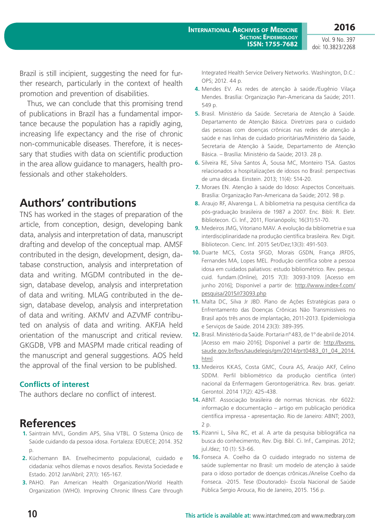Brazil is still incipient, suggesting the need for further research, particularly in the context of health promotion and prevention of disabilities.

Thus, we can conclude that this promising trend of publications in Brazil has a fundamental importance because the population has a rapidly aging, increasing life expectancy and the rise of chronic non-communicable diseases. Therefore, it is necessary that studies with data on scientific production in the area allow guidance to managers, health professionals and other stakeholders.

## **Authors' contributions**

TNS has worked in the stages of preparation of the article, from conception, design, developing bank data, analysis and interpretation of data, manuscript drafting and develop of the conceptual map. AMSF contributed in the design, development, design, database construction, analysis and interpretation of data and writing. MGDM contributed in the design, database develop, analysis and interpretation of data and writing. MLAG contributed in the design, database develop, analysis and interpretation of data and writing. AKMV and AZVMF contributed on analysis of data and writing. AKFJA held orientation of the manuscript and critical review. GKGDB, VPB and MASPM made critical reading of the manuscript and general suggestions. AOS held the approval of the final version to be published.

#### **Conflicts of interest**

The authors declare no conflict of interest.

#### **References**

- **1.** Saintrain MVL, Gondim APS, Silva VTBL. O Sistema Único de Saúde cuidando da pessoa idosa. Fortaleza: EDUECE; 2014. 352 p.
- **2.** Küchemann BA. Envelhecimento populacional, cuidado e cidadania: velhos dilemas e novos desafios. Revista Sociedade e Estado. 2012 Jan/Abril; 27(1): 165-167.
- **3.** PAHO. Pan American Health Organization/World Health Organization (WHO). Improving Chronic Illness Care through

Integrated Health Service Delivery Networks. Washington, D.C.: OPS; 2012. 44 p.

- **4.** Mendes EV. As redes de atenção à saúde./Eugênio Vilaça Mendes. Brasília: Organização Pan-Americana da Saúde; 2011. 549 p.
- **5.** Brasil. Ministério da Saúde. Secretaria de Atenção à Saúde. Departamento de Atenção Básica. Diretrizes para o cuidado das pessoas com doenças crônicas nas redes de atenção à saúde e nas linhas de cuidado prioritárias/Ministério da Saúde, Secretaria de Atenção à Saúde, Departamento de Atenção Básica. – Brasília: Ministério da Saúde; 2013. 28 p.
- **6.** Silveira RE, Silva Santos Á, Sousa MC, Monteiro TSA. Gastos relacionados a hospitalizações de idosos no Brasil: perspectivas de uma década. Einstein. 2013; 11(4): 514-20.
- **7.** Moraes EN. Atenção à saúde do Idoso: Aspectos Conceituais. Brasília: Organização Pan-Americana da Saúde; 2012. 98 p.
- **8.** Araujo RF, Alvarenga L. A bibliometria na pesquisa científica da pós-graduação brasileira de 1987 a 2007. Enc. Bibli: R. Eletr. Bibliotecon. Ci. Inf., 2011, Florianópolis; 16(31):51-70.
- **9.** Medeiros JMG, Vitoriano MAV. A evolução da bibliometria e sua interdisciplinaridade na produção científica brasileira. Rev. Digit. Bibliotecon. Cienc. Inf. 2015 Set/Dez;13(3): 491-503.
- **10.** Duarte MCS, Costa SFGD, Morais GSDN, França JRFDS, Fernandes MA, Lopes MEL. Produção científica sobre a pessoa idosa em cuidados paliativos: estudo bibliométrico. Rev. pesqui. cuid. fundam.(Online), 2015 7(3): 3093-3109. [Acesso em junho 2016]; Disponível a partir de: [http://www.index-f.com/](http://www.index-f.com/pesquisa/2015/r73093.php) [pesquisa/2015/r73093.php](http://www.index-f.com/pesquisa/2015/r73093.php)
- **11.** Malta DC, Silva Jr JBD. Plano de Ações Estratégicas para o Enfrentamento das Doenças Crônicas Não Transmissíveis no Brasil após três anos de implantação, 2011-2013. Epidemiologia e Serviços de Saúde. 2014 23(3): 389-395.
- **12.** Brasil. Ministério da Saúde. Portaria nº 483, de 1º de abril de 2014. [Acesso em maio 2016]; Disponível a partir de: [http://bvsms.](http://bvsms.saude.gov.br/bvs/saudelegis/gm/2014/prt0483_01_04_2014.html) [saude.gov.br/bvs/saudelegis/gm/2014/prt0483\\_01\\_04\\_2014.](http://bvsms.saude.gov.br/bvs/saudelegis/gm/2014/prt0483_01_04_2014.html) [html.](http://bvsms.saude.gov.br/bvs/saudelegis/gm/2014/prt0483_01_04_2014.html)
- **13.** Medeiros KKAS, Costa GMC, Coura AS, Araújo AKF, Celino SDDM. Perfil bibliométrico da produção científica (inter) nacional da Enfermagem Gerontogeriátrica. Rev. bras. geriatr. Gerontol. 2014 17(2): 425-438.
- **14.** ABNT. Associação brasileira de normas técnicas. nbr 6022: informação e documentação – artigo em publicação periódica científica impressa - apresentação. Rio de Janeiro: ABNT; 2003, 2 p.
- **15.** Pizanni L, Silva RC, et al. A arte da pesquisa bibliográfica na busca do conhecimento, Rev. Dig. Bibl. Ci. Inf., Campinas. 2012; jul./dez; 10 (1): 53-66.
- **16.** Fonseca A. Coelho da O cuidado integrado no sistema de saúde suplementar no Brasil: um modelo de atenção à saúde para o idoso portador de doenças crônicas./Anelise Coelho da Fonseca. -2015. Tese (Doutorado)- Escola Nacional de Saúde Pública Sergio Arouca, Rio de Janeiro, 2015. 156 p.